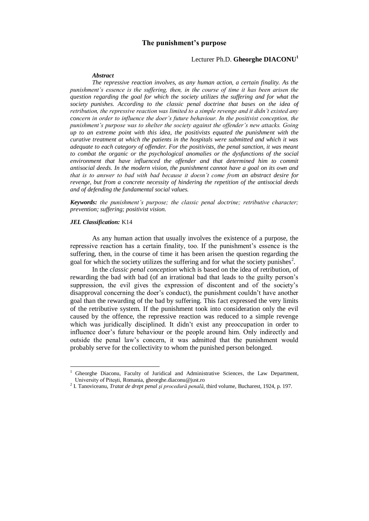# **The punishment's purpose**

## Lecturer Ph.D. **Gheorghe DIACONU<sup>1</sup>**

#### *Abstract*

*The repressive reaction involves, as any human action, a certain finality. As the punishment's essence is the suffering, then, in the course of time it has been arisen the question regarding the goal for which the society utilizes the suffering and for what the society punishes. According to the classic penal doctrine that bases on the idea of retribution, the repressive reaction was limited to a simple revenge and it didn't existed any concern in order to influence the doer's future behaviour. In the positivist conception, the punishment's purpose was to shelter the society against the offender's new attacks. Going up to an extreme point with this idea, the positivists equated the punishment with the curative treatment at which the patients in the hospitals were submitted and which it was adequate to each category of offender. For the positivists, the penal sanction, it was meant to combat the organic or the psychological anomalies or the dysfunctions of the social*  environment that have influenced the offender and that determined him to commit *antisocial deeds. In the modern vision, the punishment cannot have a goal on its own and that is to answer to bad with bad because it doesn't come from an abstract desire for revenge, but from a concrete necessity of hindering the repetition of the antisocial deeds and of defending the fundamental social values.*

*Keywords: the punishment's purpose; the classic penal doctrine; retributive character; prevention; suffering; positivist vision.*

#### *JEL Classification:* K14

1

As any human action that usually involves the existence of a purpose, the repressive reaction has a certain finality, too. If the punishment's essence is the suffering, then, in the course of time it has been arisen the question regarding the goal for which the society utilizes the suffering and for what the society punishes<sup>2</sup>.

In the *classic penal conception* which is based on the idea of retribution, of rewarding the bad with bad (of an irrational bad that leads to the guilty person's suppression, the evil gives the expression of discontent and of the society's disapproval concerning the doer's conduct), the punishment couldn't have another goal than the rewarding of the bad by suffering. This fact expressed the very limits of the retributive system. If the punishment took into consideration only the evil caused by the offence, the repressive reaction was reduced to a simple revenge which was juridically disciplined. It didn't exist any preoccupation in order to influence doer's future behaviour or the people around him. Only indirectly and outside the penal law's concern, it was admitted that the punishment would probably serve for the collectivity to whom the punished person belonged.

<sup>1</sup> Gheorghe Diaconu, Faculty of Juridical and Administrative Sciences, the Law Department, University of Piteşti, Romania, gheorghe.diaconu@just.ro

<sup>2</sup> I. Tanoviceanu, *Tratat de drept penal şi procedură penală*, third volume, Bucharest, 1924, p. 197.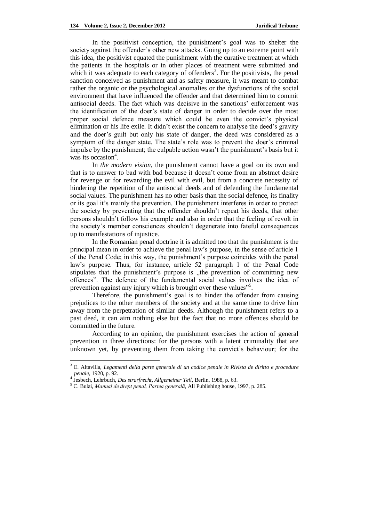In the positivist conception, the punishment's goal was to shelter the society against the offender's other new attacks. Going up to an extreme point with this idea, the positivist equated the punishment with the curative treatment at which the patients in the hospitals or in other places of treatment were submitted and which it was adequate to each category of offenders<sup>3</sup>. For the positivists, the penal sanction conceived as punishment and as safety measure, it was meant to combat rather the organic or the psychological anomalies or the dysfunctions of the social environment that have influenced the offender and that determined him to commit antisocial deeds. The fact which was decisive in the sanctions' enforcement was the identification of the doer's state of danger in order to decide over the most proper social defence measure which could be even the convict's physical elimination or his life exile. It didn't exist the concern to analyse the deed's gravity and the doer's guilt but only his state of danger, the deed was considered as a symptom of the danger state. The state's role was to prevent the doer's criminal impulse by the punishment; the culpable action wasn't the punishment's basis but it was its occasion<sup>4</sup>.

In *the modern vision*, the punishment cannot have a goal on its own and that is to answer to bad with bad because it doesn't come from an abstract desire for revenge or for rewarding the evil with evil, but from a concrete necessity of hindering the repetition of the antisocial deeds and of defending the fundamental social values. The punishment has no other basis than the social defence, its finality or its goal it's mainly the prevention. The punishment interferes in order to protect the society by preventing that the offender shouldn't repeat his deeds, that other persons shouldn't follow his example and also in order that the feeling of revolt in the society's member consciences shouldn't degenerate into fateful consequences up to manifestations of injustice.

In the Romanian penal doctrine it is admitted too that the punishment is the principal mean in order to achieve the penal law's purpose, in the sense of article 1 of the Penal Code; in this way, the punishment's purpose coincides with the penal law's purpose. Thus, for instance, article 52 paragraph 1 of the Penal Code stipulates that the punishment's purpose is "the prevention of committing new offences". The defence of the fundamental social values involves the idea of prevention against any injury which is brought over these values"<sup>5</sup>.

Therefore, the punishment's goal is to hinder the offender from causing prejudices to the other members of the society and at the same time to drive him away from the perpetration of similar deeds. Although the punishment refers to a past deed, it can aim nothing else but the fact that no more offences should be committed in the future.

According to an opinion, the punishment exercises the action of general prevention in three directions: for the persons with a latent criminality that are unknown yet, by preventing them from taking the convict's behaviour; for the

<u>.</u>

<sup>3</sup> E. Altavilla, *Legamenti della parte generale di un codice penale in Rivista de diritto e procedure penale*, 1920, p. 92.

<sup>4</sup> Jesbech, Lehrbuch, *Des strarfrecht, Allgemeiner Teil*, Berlin, 1988, p. 63.

<sup>5</sup> C. Bulai, *Manual de drept penal, Partea generală*, All Publishing house, 1997, p. 285.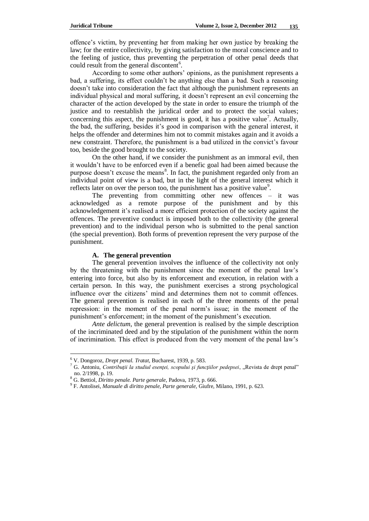offence's victim, by preventing her from making her own justice by breaking the law; for the entire collectivity, by giving satisfaction to the moral conscience and to the feeling of justice, thus preventing the perpetration of other penal deeds that could result from the general discontent<sup>6</sup>.

According to some other authors' opinions, as the punishment represents a bad, a suffering, its effect couldn't be anything else than a bad. Such a reasoning doesn't take into consideration the fact that although the punishment represents an individual physical and moral suffering, it doesn't represent an evil concerning the character of the action developed by the state in order to ensure the triumph of the justice and to reestablish the juridical order and to protect the social values; concerning this aspect, the punishment is good, it has a positive value<sup>7</sup>. Actually, the bad, the suffering, besides it's good in comparison with the general interest, it helps the offender and determines him not to commit mistakes again and it avoids a new constraint. Therefore, the punishment is a bad utilized in the convict's favour too, beside the good brought to the society.

On the other hand, if we consider the punishment as an immoral evil, then it wouldn't have to be enforced even if a benefic goal had been aimed because the purpose doesn't excuse the means<sup>8</sup>. In fact, the punishment regarded only from an individual point of view is a bad, but in the light of the general interest which it reflects later on over the person too, the punishment has a positive value<sup>9</sup>.

The preventing from committing other new offences – it was acknowledged as a remote purpose of the punishment and by this acknowledgement it's realised a more efficient protection of the society against the offences. The preventive conduct is imposed both to the collectivity (the general prevention) and to the individual person who is submitted to the penal sanction (the special prevention). Both forms of prevention represent the very purpose of the punishment.

### **A. The general prevention**

The general prevention involves the influence of the collectivity not only by the threatening with the punishment since the moment of the penal law's entering into force, but also by its enforcement and execution, in relation with a certain person. In this way, the punishment exercises a strong psychological influence over the citizens' mind and determines them not to commit offences. The general prevention is realised in each of the three moments of the penal repression: in the moment of the penal norm's issue; in the moment of the punishment's enforcement; in the moment of the punishment's execution.

*Ante delictum*, the general prevention is realised by the simple description of the incriminated deed and by the stipulation of the punishment within the norm of incrimination. This effect is produced from the very moment of the penal law's

<u>.</u>

<sup>6</sup> V. Dongoroz, *Drept penal. Tratat*, Bucharest, 1939, p. 583.

<sup>&</sup>lt;sup>7</sup> G. Antoniu, *Contribuții la studiul esenței, scopului și funcțiilor pedepsei*, "Revista de drept penal" no. 2/1998, p. 19.

<sup>8</sup> G. Bettiol, *Diritto penale. Parte generale*, Padova, 1973, p. 666.

<sup>9</sup> F. Antolisei, *Manuale di diritto penale, Parte generale*, Giufre, Milano, 1991, p. 623.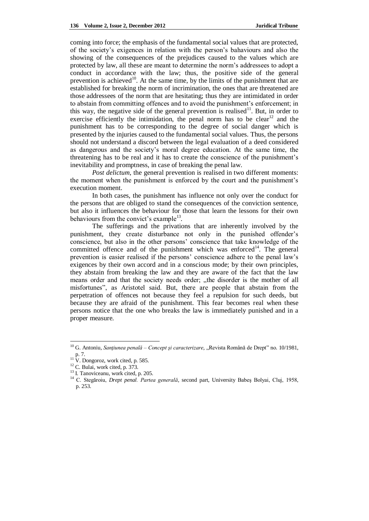coming into force; the emphasis of the fundamental social values that are protected, of the society's exigences in relation with the person's bahaviours and also the showing of the consequences of the prejudices caused to the values which are protected by law, all these are meant to determine the norm's addressees to adopt a conduct in accordance with the law; thus, the positive side of the general prevention is achieved<sup>10</sup>. At the same time, by the limits of the punishment that are established for breaking the norm of incrimination, the ones that are threatened are those addressees of the norm that are hesitating; thus they are intimidated in order to abstain from committing offences and to avoid the punishment's enforcement; in this way, the negative side of the general prevention is realised<sup>11</sup>. But, in order to exercise efficiently the intimidation, the penal norm has to be clear<sup>12</sup> and the punishment has to be corresponding to the degree of social danger which is presented by the injuries caused to the fundamental social values. Thus, the persons should not understand a discord between the legal evaluation of a deed considered as dangerous and the society's moral degree education. At the same time, the threatening has to be real and it has to create the conscience of the punishment's inevitability and promptness, in case of breaking the penal law.

*Post delictum*, the general prevention is realised in two different moments: the moment when the punishment is enforced by the court and the punishment's execution moment.

In both cases, the punishment has influence not only over the conduct for the persons that are obliged to stand the consequences of the conviction sentence, but also it influences the behaviour for those that learn the lessons for their own behaviours from the convict's example<sup>13</sup>.

The sufferings and the privations that are inherently involved by the punishment, they create disturbance not only in the punished offender's conscience, but also in the other persons' conscience that take knowledge of the committed offence and of the punishment which was enforced<sup>14</sup>. The general prevention is easier realised if the persons' conscience adhere to the penal law's exigences by their own accord and in a conscious mode; by their own principles, they abstain from breaking the law and they are aware of the fact that the law means order and that the society needs order; "the disorder is the mother of all misfortunes", as Aristotel said. But, there are people that abstain from the perpetration of offences not because they feel a repulsion for such deeds, but because they are afraid of the punishment. This fear becomes real when these persons notice that the one who breaks the law is immediately punished and in a proper measure.

<u>.</u>

<sup>&</sup>lt;sup>10</sup> G. Antoniu, Sanțiunea penală – Concept și caracterizare, "Revista Română de Drept" no. 10/1981, p. 7.

 $11\text{ V}$ . Dongoroz, work cited, p. 585.

 $12$  C. Bulai, work cited, p. 373.

<sup>&</sup>lt;sup>13</sup> I. Tanoviceanu, work cited, p. 205.

<sup>&</sup>lt;sup>14</sup> C. Stegăroiu, *Drept penal. Partea generală*, second part, University Babeș Bolyai, Cluj, 1958, p. 253.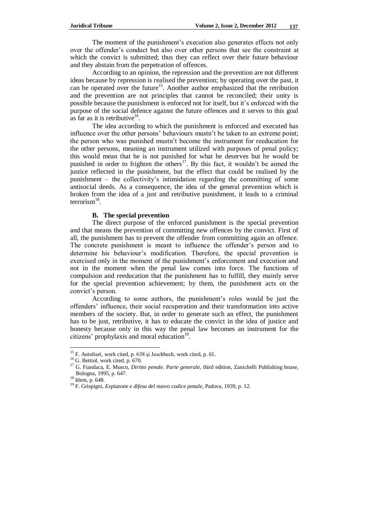The moment of the punishment's execution also generates effects not only over the offender's conduct but also over other persons that see the constraint at which the convict is submitted; thus they can reflect over their future behaviour and they abstain from the perpetration of offences.

According to an opinion, the repression and the prevention are not different ideas because by repression is realised the prevention; by operating over the past, it can be operated over the future<sup>15</sup>. Another author emphasized that the retribution and the prevention are not principles that cannot be reconciled; their unity is possible because the punishment is enforced not for itself, but it's enforced with the purpose of the social defence against the future offences and it serves to this goal as far as it is retributive<sup>16</sup>.

The idea according to which the punishment is enforced and executed has influence over the other persons' behaviours mustn't be taken to an extreme point; the person who was punished mustn't become the instrument for reeducation for the other persons, meaning an instrument utilized with purposes of penal policy; this would mean that he is not punished for what he deserves but he would be punished in order to frighten the others<sup>17</sup>. By this fact, it wouldn't be aimed the justice reflected in the punishment, but the effect that could be realised by the punishment – the collectivity's intimidation regarding the committing of some antisocial deeds. As a consequence, the idea of the general prevention which is broken from the idea of a just and retributive punishment, it leads to a criminal  $\text{terrorism}^{18}$ .

## **B. The special prevention**

The direct purpose of the enforced punishment is the special prevention and that means the prevention of committing new offences by the convict. First of all, the punishment has to prevent the offender from committing again an offence. The concrete punishment is meant to influence the offender's person and to determine his behaviour's modification. Therefore, the special prevention is exercised only in the moment of the punishment's enforcement and execution and not in the moment when the penal law comes into force. The functions of compulsion and reeducation that the punishment has to fulfill, they mainly serve for the special prevention achievement; by them, the punishment acts on the convict's person.

According to some authors, the punishment's roles would be just the offenders' influence, their social recuperation and their transformation into active members of the society. But, in order to generate such an effect, the punishment has to be just, retributive, it has to educate the convict in the idea of justice and honesty because only in this way the penal law becomes an instrument for the citizens' prophylaxis and moral education<sup>19</sup>.

1

<sup>&</sup>lt;sup>15</sup> F. Antolisei, work cited, p. 638 și Jeschbech, work cited, p. 61.

<sup>&</sup>lt;sup>16</sup> G. Bettiol, work cited, p. 670.

<sup>&</sup>lt;sup>17</sup> G. Fiandaca, E. Musco, *Diritto penale. Parte generale*, third edition, Zanichelli Publishing house, Bologna, 1995, p. 647.

<sup>18</sup> Idem, p. 648.

<sup>19</sup> F. Grispigni, *Expiazone e difesa del nuovo codice penale*, Padova, 1939, p. 12.